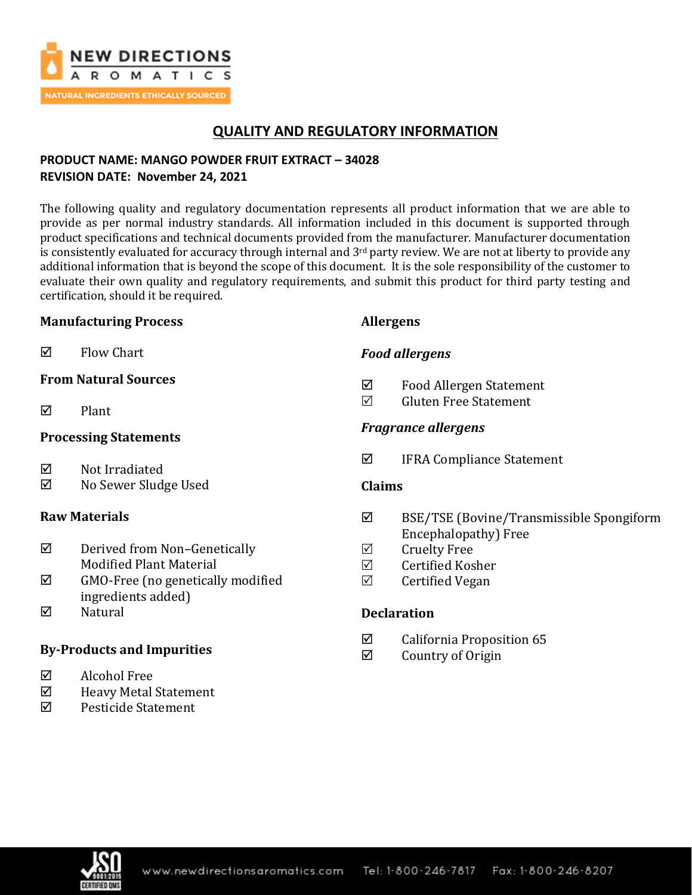

# **QUALITY AND REGULATORY INFORMATION**

## **PRODUCT NAME: MANGO POWDER FRUIT EXTRACT – 34028 REVISION DATE: November 24, 2021**

The following quality and regulatory documentation represents all product information that we are able to provide as per normal industry standards. All information included in this document is supported through product specifications and technical documents provided from the manufacturer. Manufacturer documentation is consistently evaluated for accuracy through internal and 3<sup>rd</sup> party review. We are not at liberty to provide any additional information that is beyond the scope of this document. It is the sole responsibility of the customer to evaluate their own quality and regulatory requirements, and submit this product for third party testing and certification, should it be required.

### **Manufacturing Process**

 $\boxtimes$  Flow Chart

### **From Natural Sources**

 $\nabla$  Plant

## **Processing Statements**

- $\boxtimes$  Not Irradiated
- No Sewer Sludge Used

## **Raw Materials**

- $\boxtimes$  Derived from Non-Genetically Modified Plant Material
- $\boxtimes$  GMO-Free (no genetically modified ingredients added)
- $\nabla$  Natural

## **By-Products and Impurities**

- Alcohol Free
- $\boxtimes$  Heavy Metal Statement
- Pesticide Statement

## **Allergens**

## *Food allergens*

- Food Allergen Statement
- Gluten Free Statement

## *Fragrance allergens*

 $\boxtimes$  IFRA Compliance Statement

### **Claims**

- BSE/TSE (Bovine/Transmissible Spongiform Encephalopathy) Free
- $\boxtimes$  Cruelty Free
- $\boxtimes$  Certified Kosher
- $\boxtimes$  Certified Vegan

## **Declaration**

- $\boxtimes$  California Proposition 65
- $\boxtimes$  Country of Origin

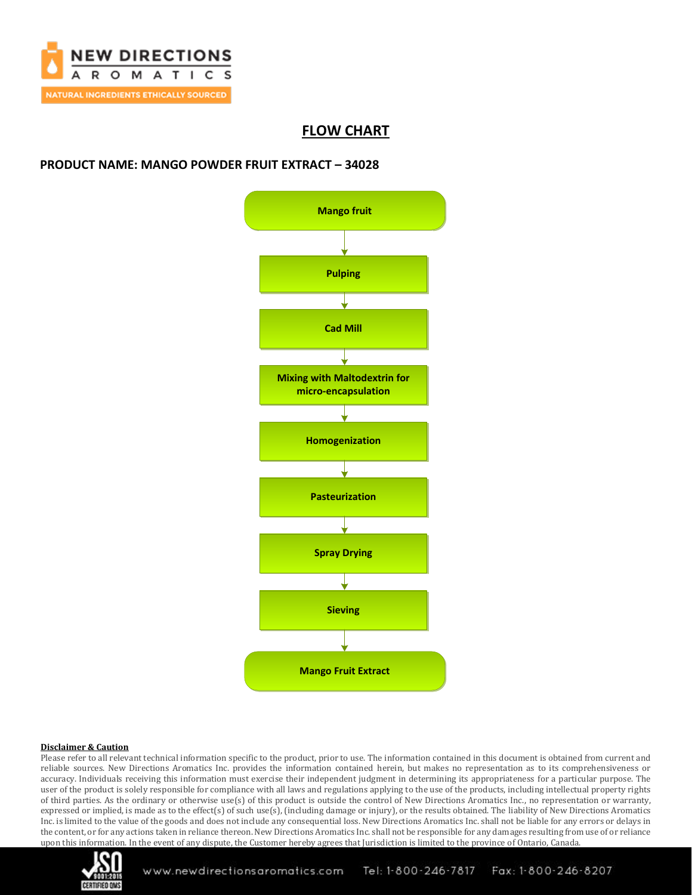

# **FLOW CHART**

### **PRODUCT NAME: MANGO POWDER FRUIT EXTRACT – 34028**



### **Disclaimer & Caution**

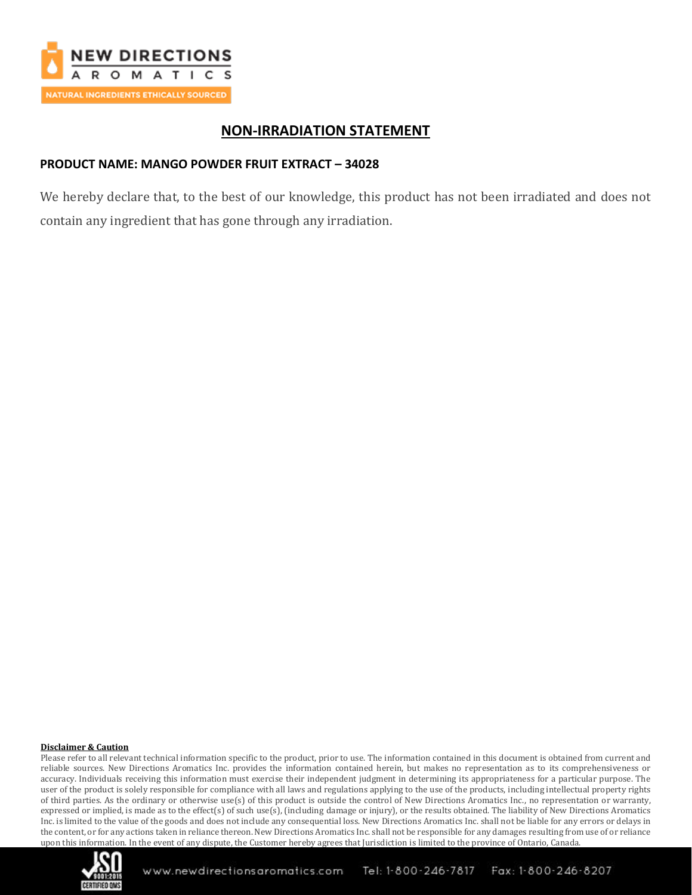

# **NON-IRRADIATION STATEMENT**

## **PRODUCT NAME: MANGO POWDER FRUIT EXTRACT – 34028**

We hereby declare that, to the best of our knowledge, this product has not been irradiated and does not contain any ingredient that has gone through any irradiation.

#### **Disclaimer & Caution**

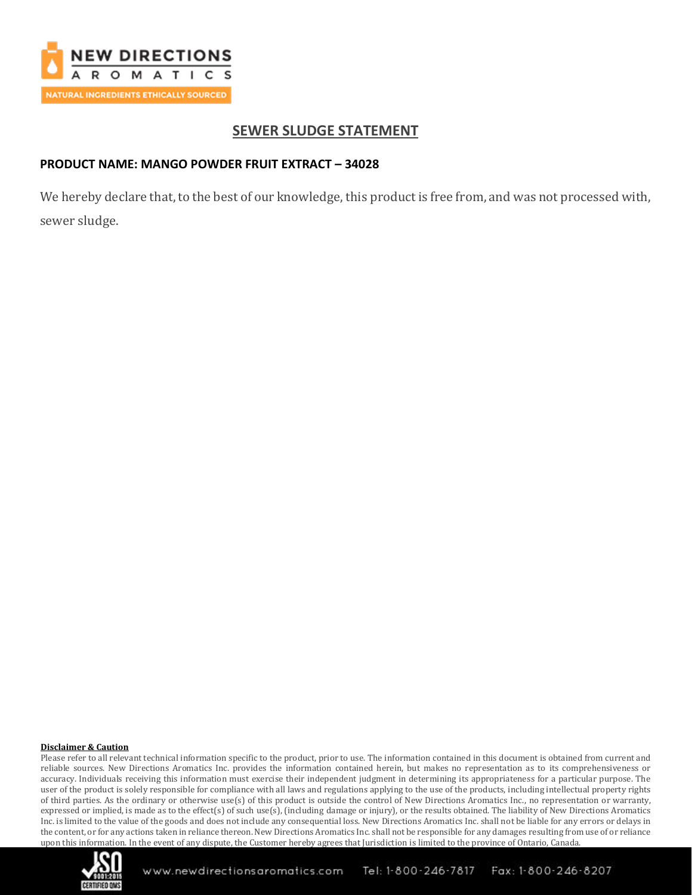

# **SEWER SLUDGE STATEMENT**

## **PRODUCT NAME: MANGO POWDER FRUIT EXTRACT – 34028**

We hereby declare that, to the best of our knowledge, this product is free from, and was not processed with, sewer sludge.

#### **Disclaimer & Caution**

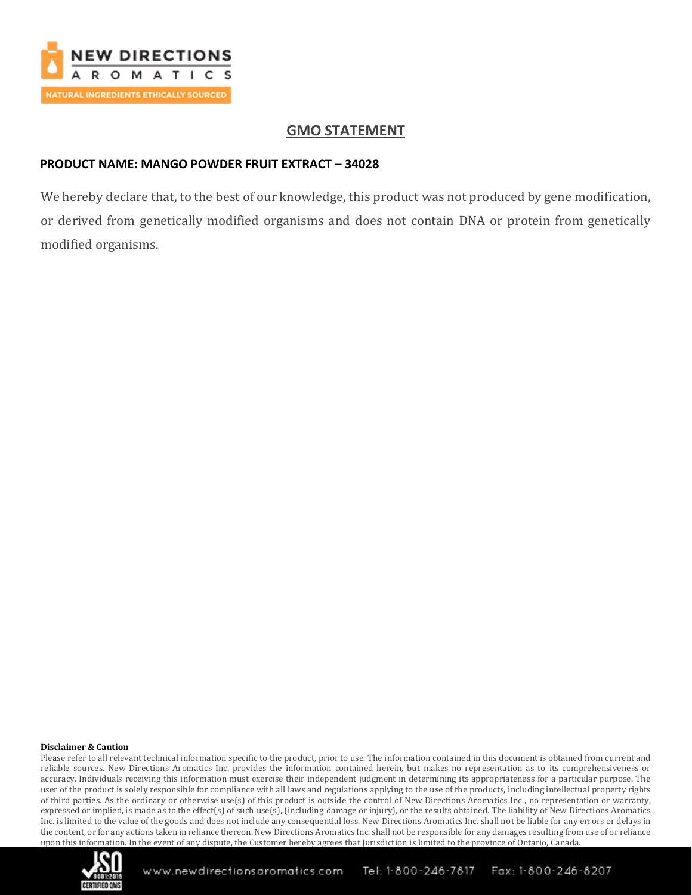

# **GMO STATEMENT**

## **PRODUCT NAME: MANGO POWDER FRUIT EXTRACT – 34028**

We hereby declare that, to the best of our knowledge, this product was not produced by gene modification, or derived from genetically modified organisms and does not contain DNA or protein from genetically modified organisms.

### **Disclaimer & Caution**

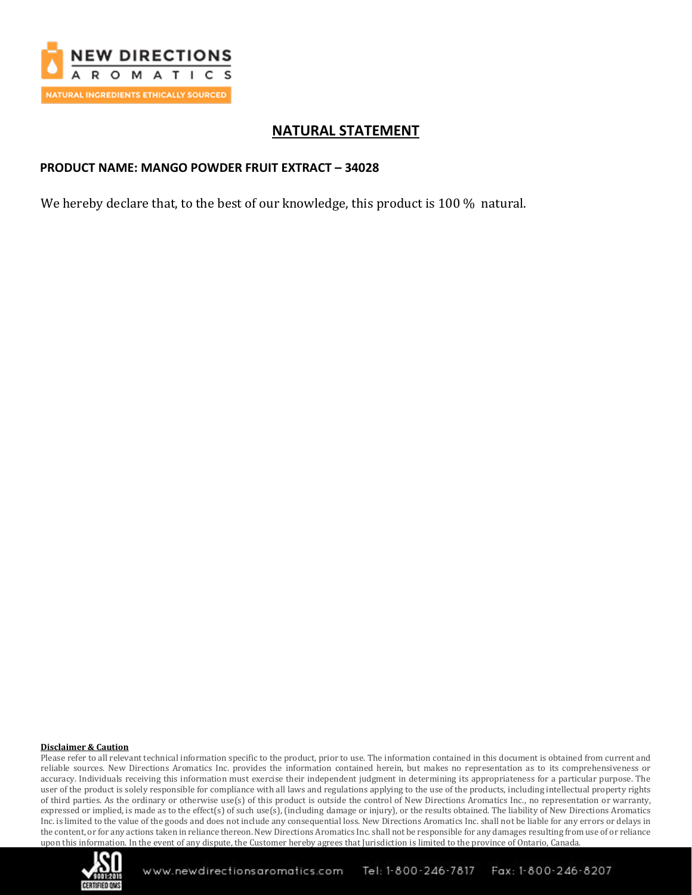

# **NATURAL STATEMENT**

### **PRODUCT NAME: MANGO POWDER FRUIT EXTRACT – 34028**

We hereby declare that, to the best of our knowledge, this product is 100 % natural.

### **Disclaimer & Caution**

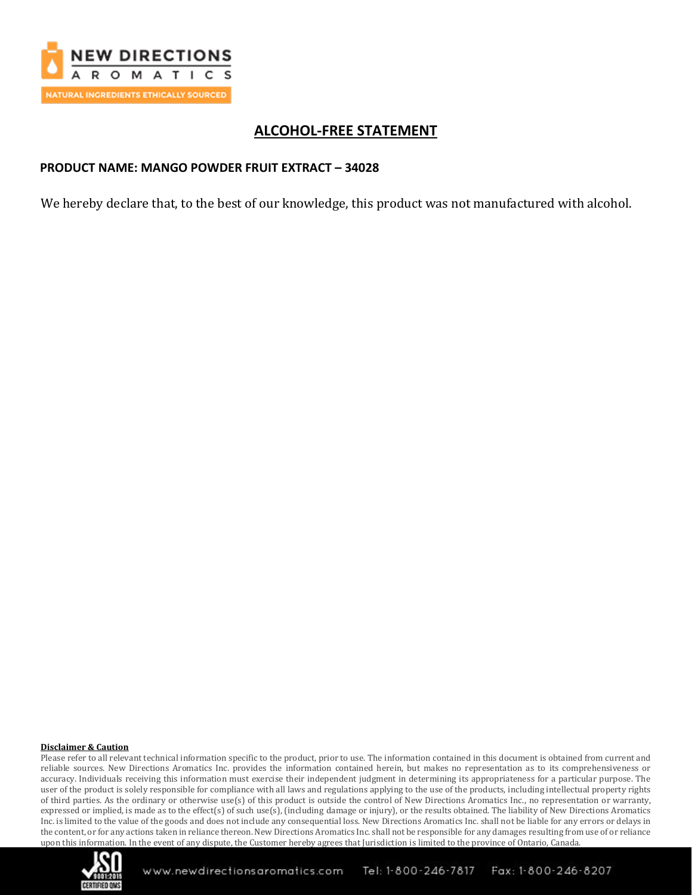

# **ALCOHOL-FREE STATEMENT**

### **PRODUCT NAME: MANGO POWDER FRUIT EXTRACT – 34028**

We hereby declare that, to the best of our knowledge, this product was not manufactured with alcohol.

### **Disclaimer & Caution**

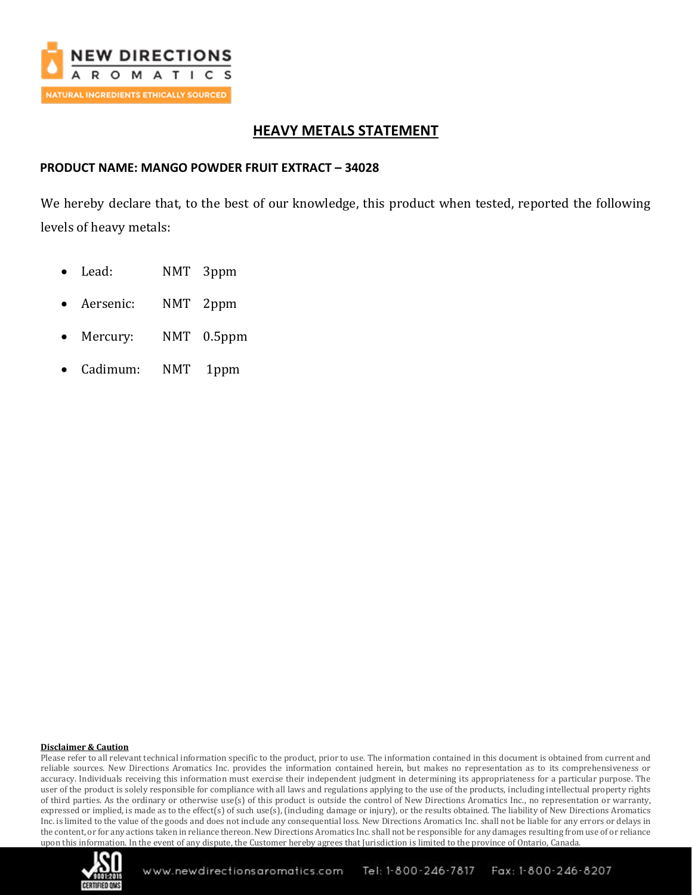

# **HEAVY METALS STATEMENT**

### **PRODUCT NAME: MANGO POWDER FRUIT EXTRACT – 34028**

We hereby declare that, to the best of our knowledge, this product when tested, reported the following levels of heavy metals:

- Lead: NMT 3ppm
- Aersenic: NMT 2ppm
- Mercury: NMT 0.5ppm
- Cadimum: NMT 1ppm

### **Disclaimer & Caution**

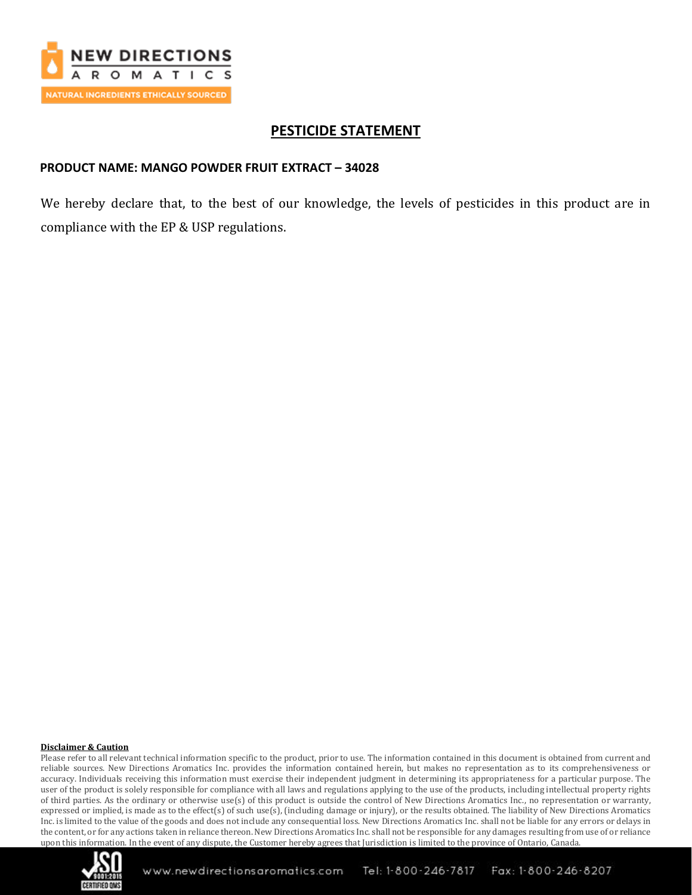

## **PESTICIDE STATEMENT**

### **PRODUCT NAME: MANGO POWDER FRUIT EXTRACT – 34028**

We hereby declare that, to the best of our knowledge, the levels of pesticides in this product are in compliance with the EP & USP regulations.

### **Disclaimer & Caution**

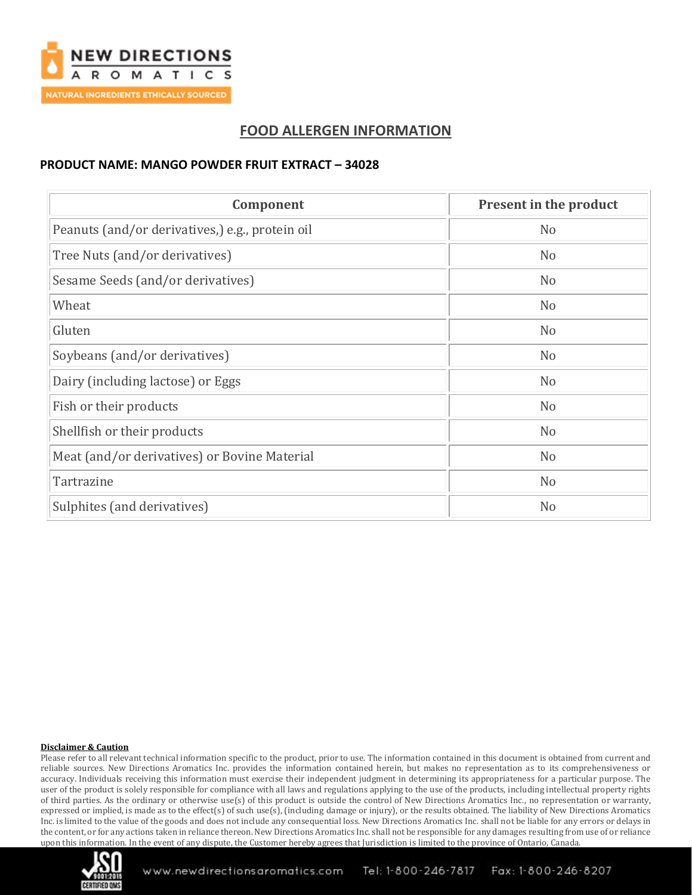

# **FOOD ALLERGEN INFORMATION**

### **PRODUCT NAME: MANGO POWDER FRUIT EXTRACT – 34028**

| Component                                       | Present in the product |
|-------------------------------------------------|------------------------|
| Peanuts (and/or derivatives,) e.g., protein oil | N <sub>o</sub>         |
| Tree Nuts (and/or derivatives)                  | N <sub>o</sub>         |
| Sesame Seeds (and/or derivatives)               | N <sub>o</sub>         |
| Wheat                                           | N <sub>o</sub>         |
| Gluten                                          | N <sub>o</sub>         |
| Soybeans (and/or derivatives)                   | N <sub>o</sub>         |
| Dairy (including lactose) or Eggs               | N <sub>o</sub>         |
| Fish or their products                          | N <sub>o</sub>         |
| Shellfish or their products                     | N <sub>o</sub>         |
| Meat (and/or derivatives) or Bovine Material    | N <sub>o</sub>         |
| Tartrazine                                      | N <sub>o</sub>         |
| Sulphites (and derivatives)                     | N <sub>o</sub>         |

### **Disclaimer & Caution**

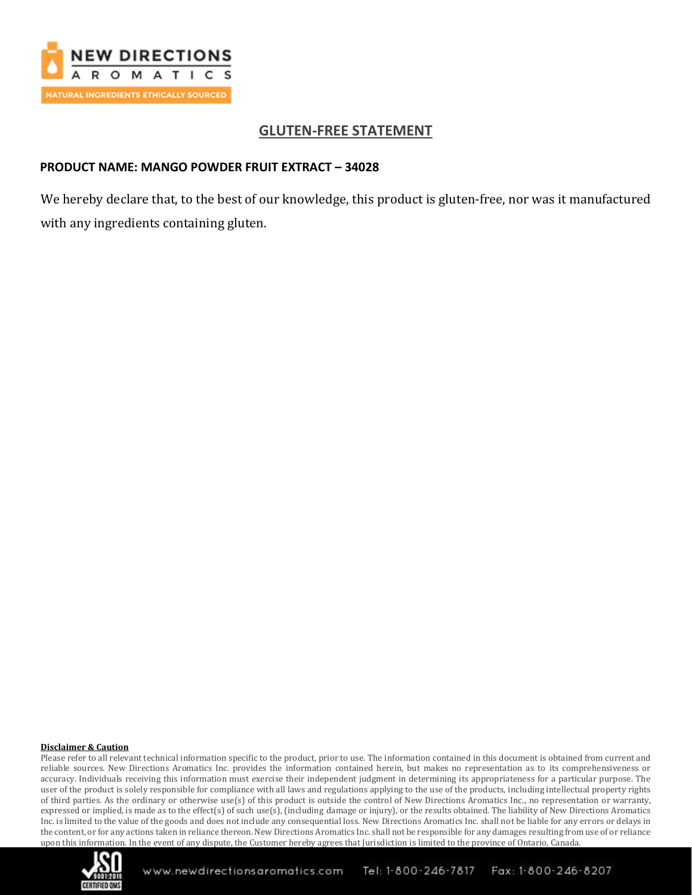

# **GLUTEN-FREE STATEMENT**

### **PRODUCT NAME: MANGO POWDER FRUIT EXTRACT – 34028**

We hereby declare that, to the best of our knowledge, this product is gluten-free, nor was it manufactured with any ingredients containing gluten.

### **Disclaimer & Caution**

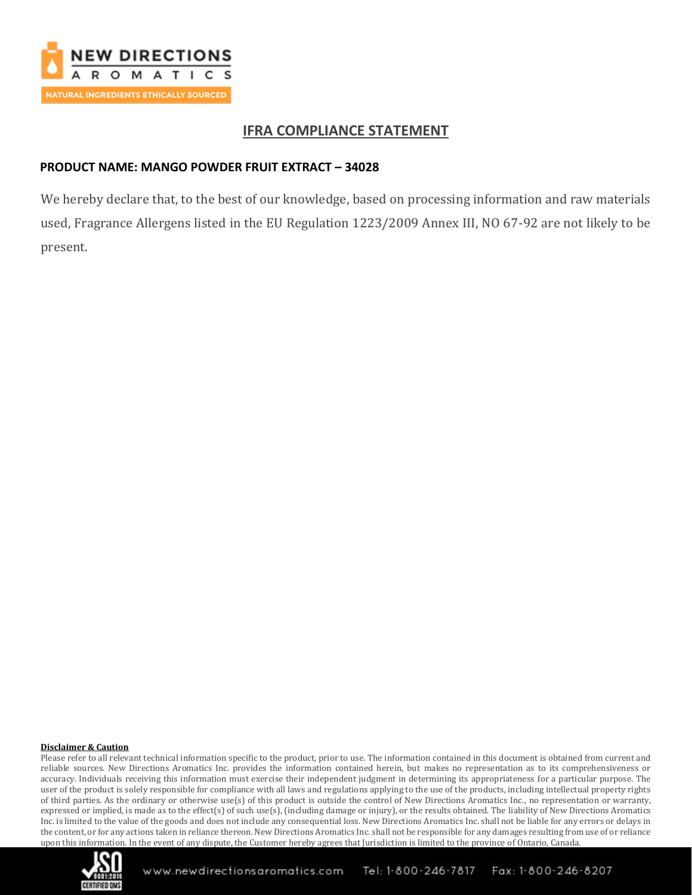

# **IFRA COMPLIANCE STATEMENT**

## **PRODUCT NAME: MANGO POWDER FRUIT EXTRACT – 34028**

We hereby declare that, to the best of our knowledge, based on processing information and raw materials used, Fragrance Allergens listed in the EU Regulation 1223/2009 Annex III, NO 67-92 are not likely to be present.

### **Disclaimer & Caution**

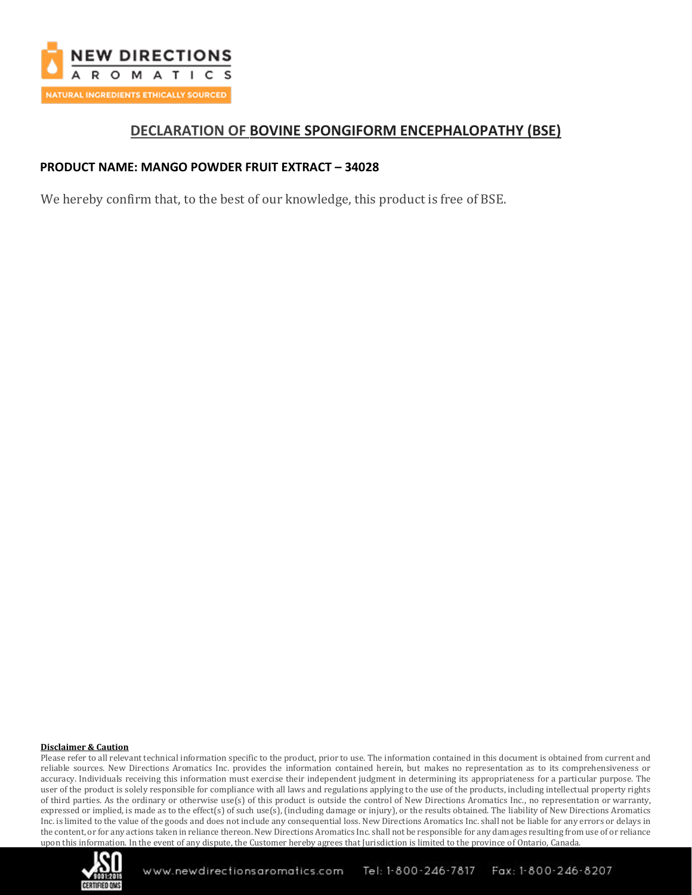

## **DECLARATION OF BOVINE SPONGIFORM ENCEPHALOPATHY (BSE)**

## **PRODUCT NAME: MANGO POWDER FRUIT EXTRACT – 34028**

We hereby confirm that, to the best of our knowledge, this product is free of BSE.

### **Disclaimer & Caution**

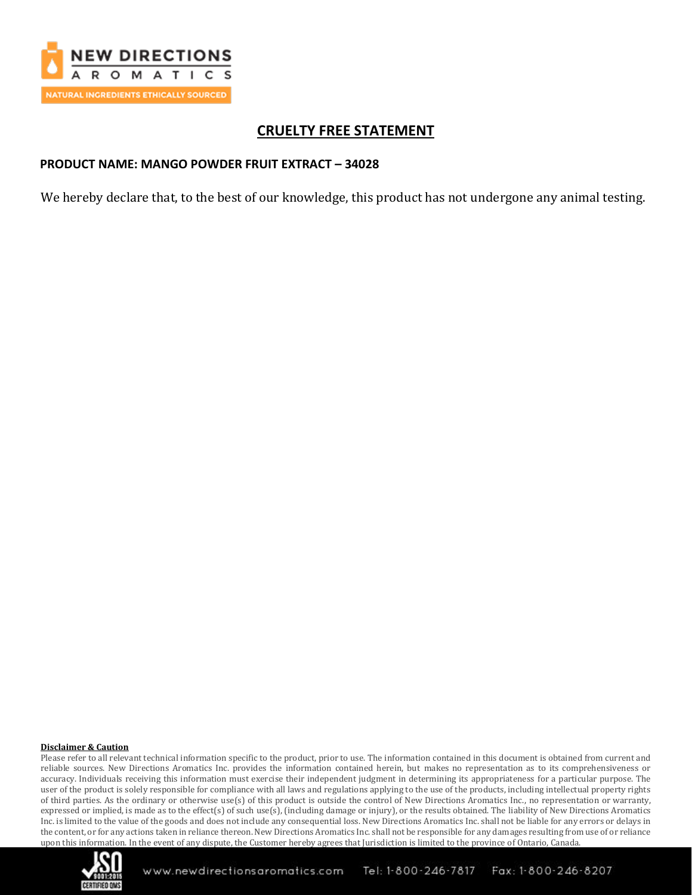

# **CRUELTY FREE STATEMENT**

### **PRODUCT NAME: MANGO POWDER FRUIT EXTRACT – 34028**

We hereby declare that, to the best of our knowledge, this product has not undergone any animal testing.

### **Disclaimer & Caution**

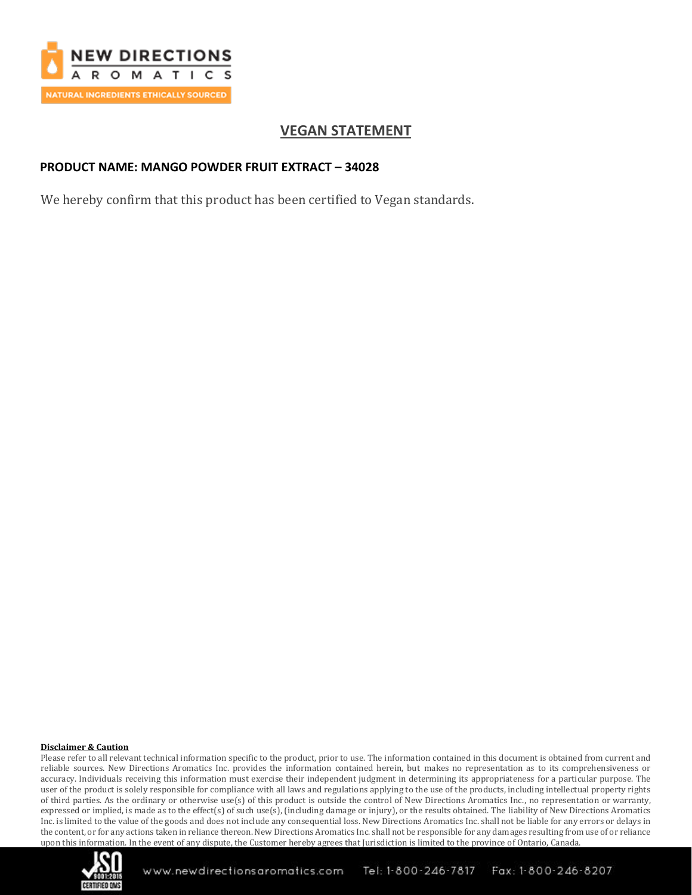

# **VEGAN STATEMENT**

### **PRODUCT NAME: MANGO POWDER FRUIT EXTRACT – 34028**

We hereby confirm that this product has been certified to Vegan standards.

### **Disclaimer & Caution**

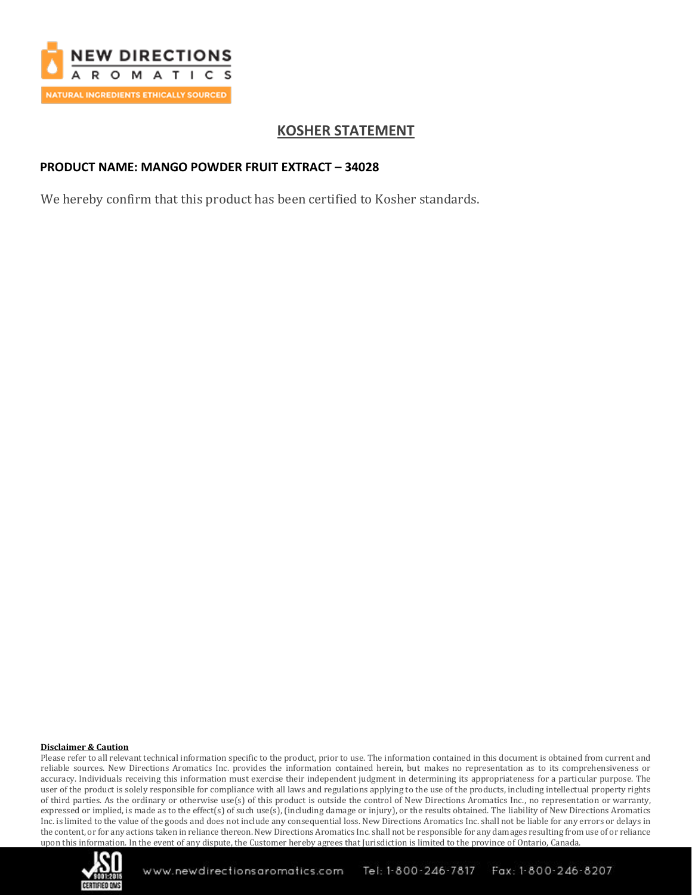

# **KOSHER STATEMENT**

### **PRODUCT NAME: MANGO POWDER FRUIT EXTRACT – 34028**

We hereby confirm that this product has been certified to Kosher standards.

#### **Disclaimer & Caution**

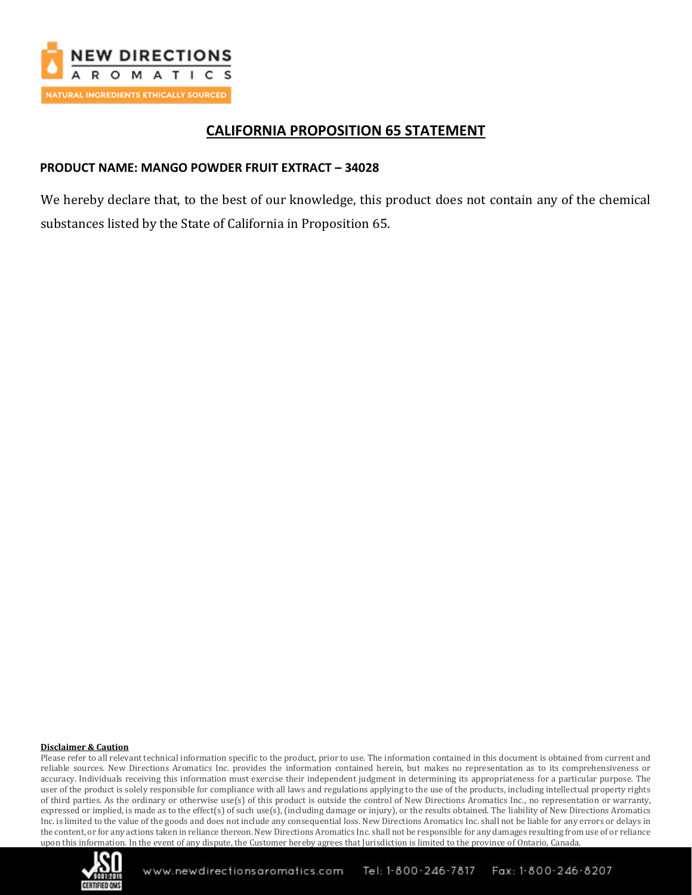

## **CALIFORNIA PROPOSITION 65 STATEMENT**

## **PRODUCT NAME: MANGO POWDER FRUIT EXTRACT – 34028**

We hereby declare that, to the best of our knowledge, this product does not contain any of the chemical substances listed by the State of California in Proposition 65.

#### **Disclaimer & Caution**